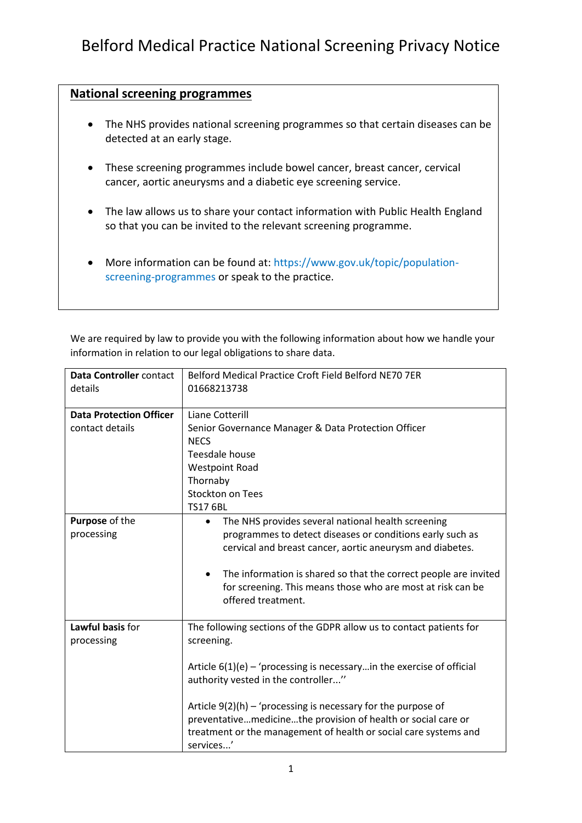## **National screening programmes**

- The NHS provides national screening programmes so that certain diseases can be detected at an early stage.
- These screening programmes include bowel cancer, breast cancer, cervical cancer, aortic aneurysms and a diabetic eye screening service.
- The law allows us to share your contact information with Public Health England so that you can be invited to the relevant screening programme.
- More information can be found at: [https://www.gov.uk/topic/population](https://www.gov.uk/topic/population-screening-programmes)[screening-programmes](https://www.gov.uk/topic/population-screening-programmes) or speak to the practice.

We are required by law to provide you with the following information about how we handle your information in relation to our legal obligations to share data.

| Data Controller contact<br>details                | Belford Medical Practice Croft Field Belford NE70 7ER<br>01668213738                                                                                                                                              |
|---------------------------------------------------|-------------------------------------------------------------------------------------------------------------------------------------------------------------------------------------------------------------------|
| <b>Data Protection Officer</b><br>contact details | Liane Cotterill<br>Senior Governance Manager & Data Protection Officer<br><b>NECS</b>                                                                                                                             |
|                                                   | Teesdale house                                                                                                                                                                                                    |
|                                                   | <b>Westpoint Road</b>                                                                                                                                                                                             |
|                                                   | Thornaby                                                                                                                                                                                                          |
|                                                   | <b>Stockton on Tees</b>                                                                                                                                                                                           |
|                                                   | <b>TS17 6BL</b>                                                                                                                                                                                                   |
| Purpose of the<br>processing                      | The NHS provides several national health screening<br>$\bullet$<br>programmes to detect diseases or conditions early such as                                                                                      |
|                                                   | cervical and breast cancer, aortic aneurysm and diabetes.                                                                                                                                                         |
|                                                   | The information is shared so that the correct people are invited<br>٠<br>for screening. This means those who are most at risk can be<br>offered treatment.                                                        |
| Lawful basis for<br>processing                    | The following sections of the GDPR allow us to contact patients for<br>screening.                                                                                                                                 |
|                                                   | Article $6(1)(e)$ – 'processing is necessary in the exercise of official<br>authority vested in the controller"                                                                                                   |
|                                                   | Article $9(2)(h)$ – 'processing is necessary for the purpose of<br>preventativemedicinethe provision of health or social care or<br>treatment or the management of health or social care systems and<br>services' |